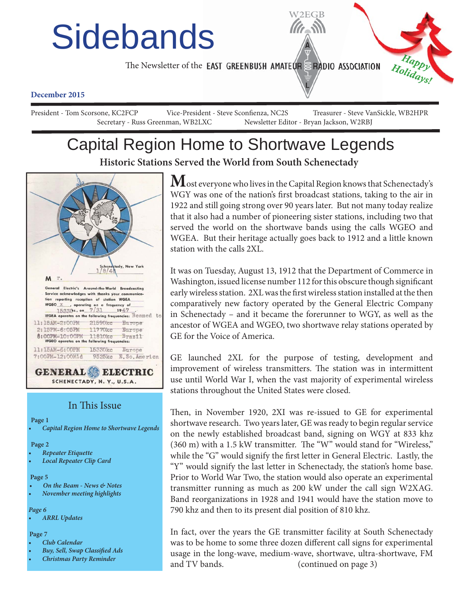# **Sidebands**

The Newsletter of the **EAST GREENBUSH AMATEUR ERADIO ASSOCIATION** 



#### **December 2015**

President - Tom Scorsone, KC2FCP Vice-President - Steve Sconfienza, NC2S Treasurer - Steve VanSickle, WB2HPR Secretary - Russ Greenman, WB2LXC Newsletter Editor - Bryan Jackson, W2RBJ

### Capital Region Home to Shortwave Legends **Historic Stations Served the World from South Schenectady**



#### In This Issue

**Page 1**

*• Capital Region Home to Shortwave Legends*

**Page 2**

- *Repeater Etiquette*
- *Local Repeater Clip Card*

#### **Page 5**

- *On the Beam News & Notes*
- *November meeting highlights*

#### *Page 6*

*• ARRL Updates*

#### **Page 7**

- *Club Calendar*
- **Buy, Sell, Swap Classified Ads**
- *Christmas Party Reminder*

 $\mathbf M$ ost everyone who lives in the Capital Region knows that Schenectady's WGY was one of the nation's first broadcast stations, taking to the air in 1922 and still going strong over 90 years later. But not many today realize that it also had a number of pioneering sister stations, including two that served the world on the shortwave bands using the calls WGEO and WGEA. But their heritage actually goes back to 1912 and a little known station with the calls 2XL.

W<sub>2</sub>EGB

It was on Tuesday, August 13, 1912 that the Department of Commerce in Washington, issued license number 112 for this obscure though significant early wireless station. 2XL was the first wireless station installed at the then comparatively new factory operated by the General Electric Company in Schenectady – and it became the forerunner to WGY, as well as the ancestor of WGEA and WGEO, two shortwave relay stations operated by GE for the Voice of America.

GE launched 2XL for the purpose of testing, development and improvement of wireless transmitters. The station was in intermittent use until World War I, when the vast majority of experimental wireless stations throughout the United States were closed.

Then, in November 1920, 2XI was re-issued to GE for experimental shortwave research. Two years later, GE was ready to begin regular service on the newly established broadcast band, signing on WGY at 833 khz  $(360 \text{ m})$  with a 1.5 kW transmitter. The "W" would stand for "Wireless," while the "G" would signify the first letter in General Electric. Lastly, the "Y" would signify the last letter in Schenectady, the station's home base. Prior to World War Two, the station would also operate an experimental transmitter running as much as 200 kW under the call sign W2XAG. Band reorganizations in 1928 and 1941 would have the station move to 790 khz and then to its present dial position of 810 khz.

In fact, over the years the GE transmitter facility at South Schenectady was to be home to some three dozen different call signs for experimental usage in the long-wave, medium-wave, shortwave, ultra-shortwave, FM and TV bands. (continued on page 3)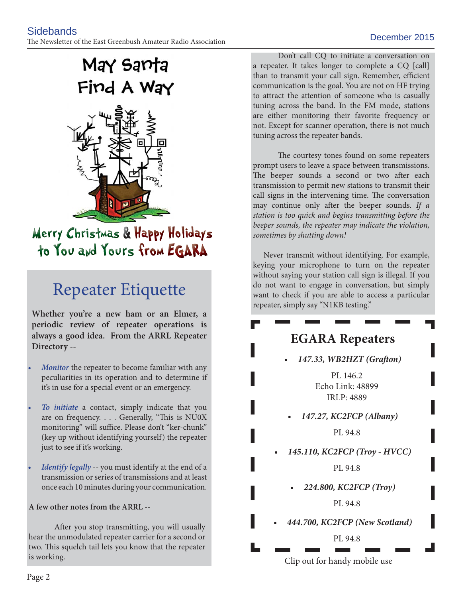## May Santa Find A Way



### Merry Christmas & Happy Holidays to You and Yours from EGARA

### Repeater Etiquette

**Whether you're a new ham or an Elmer, a periodic review of repeater operations is always a good idea. From the ARRL Repeater Directory --**

- *Monitor* the repeater to become familiar with any peculiarities in its operation and to determine if it's in use for a special event or an emergency.
- *To initiate* a contact, simply indicate that you are on frequency.  $\ldots$  Generally, "This is NU0X monitoring" will suffice. Please don't "ker-chunk" (key up without identifying yourself) the repeater just to see if it's working.
- *Identify legally* -- you must identify at the end of a transmission or series of transmissions and at least once each 10 minutes during your communication.

#### **A few other notes from the ARRL --**

After you stop transmitting, you will usually hear the unmodulated repeater carrier for a second or two. This squelch tail lets you know that the repeater is working.

 Don't call CQ to initiate a conversation on a repeater. It takes longer to complete a CQ [call] than to transmit your call sign. Remember, efficient communication is the goal. You are not on HF trying to attract the attention of someone who is casually tuning across the band. In the FM mode, stations are either monitoring their favorite frequency or not. Except for scanner operation, there is not much tuning across the repeater bands.

The courtesy tones found on some repeaters prompt users to leave a space between transmissions. The beeper sounds a second or two after each transmission to permit new stations to transmit their call signs in the intervening time. The conversation may continue only after the beeper sounds. If a *station is too quick and begins transmitting before the beeper sounds, the repeater may indicate the violation, sometimes by shutting down!*

 Never transmit without identifying. For example, keying your microphone to turn on the repeater without saying your station call sign is illegal. If you do not want to engage in conversation, but simply want to check if you are able to access a particular repeater, simply say "N1KB testing."

### **EGARA Repeaters**

**147.33, WB2HZT (Grafton)** 

 PL 146.2 Echo Link: 48899 IRLP: 4889

**• 147.27, KC2FCP (Albany)**

PL 94.8

**• 145.110, KC2FCP (Troy - HVCC)**

PL 94.8

**• 224.800, KC2FCP (Troy)**

PL 94.8

**• 444.700, KC2FCP (New Scotland)**

PL 94.8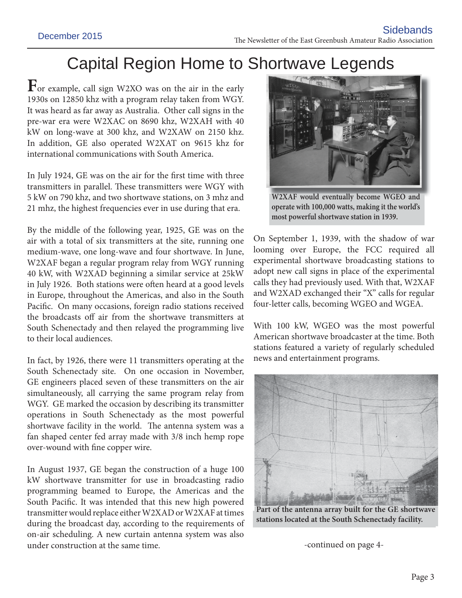### Capital Region Home to Shortwave Legends

**F**or example, call sign W2XO was on the air in the early 1930s on 12850 khz with a program relay taken from WGY. It was heard as far away as Australia. Other call signs in the pre-war era were W2XAC on 8690 khz, W2XAH with 40 kW on long-wave at 300 khz, and W2XAW on 2150 khz. In addition, GE also operated W2XAT on 9615 khz for international communications with South America.

In July 1924, GE was on the air for the first time with three transmitters in parallel. These transmitters were WGY with 5 kW on 790 khz, and two shortwave stations, on 3 mhz and 21 mhz, the highest frequencies ever in use during that era.

By the middle of the following year, 1925, GE was on the air with a total of six transmitters at the site, running one medium-wave, one long-wave and four shortwave. In June, W2XAF began a regular program relay from WGY running 40 kW, with W2XAD beginning a similar service at 25kW in July 1926. Both stations were often heard at a good levels in Europe, throughout the Americas, and also in the South Pacific. On many occasions, foreign radio stations received the broadcasts off air from the shortwave transmitters at South Schenectady and then relayed the programming live to their local audiences.

In fact, by 1926, there were 11 transmitters operating at the South Schenectady site. On one occasion in November, GE engineers placed seven of these transmitters on the air simultaneously, all carrying the same program relay from WGY. GE marked the occasion by describing its transmitter operations in South Schenectady as the most powerful shortwave facility in the world. The antenna system was a fan shaped center fed array made with 3/8 inch hemp rope over-wound with fine copper wire.

In August 1937, GE began the construction of a huge 100 kW shortwave transmitter for use in broadcasting radio programming beamed to Europe, the Americas and the South Pacific. It was intended that this new high powered transmitter would replace either W2XAD or W2XAF at times during the broadcast day, according to the requirements of on-air scheduling. A new curtain antenna system was also under construction at the same time.



**W2XAF would eventually become WGEO and operate with 100,000 watts, making it the world's most powerful shortwave station in 1939.**

On September 1, 1939, with the shadow of war looming over Europe, the FCC required all experimental shortwave broadcasting stations to adopt new call signs in place of the experimental calls they had previously used. With that, W2XAF and W2XAD exchanged their "X" calls for regular four-letter calls, becoming WGEO and WGEA.

With 100 kW, WGEO was the most powerful American shortwave broadcaster at the time. Both stations featured a variety of regularly scheduled news and entertainment programs.



**Part of the antenna array built for the GE shortwave stations located at the South Schenectady facility.**

-continued on page 4-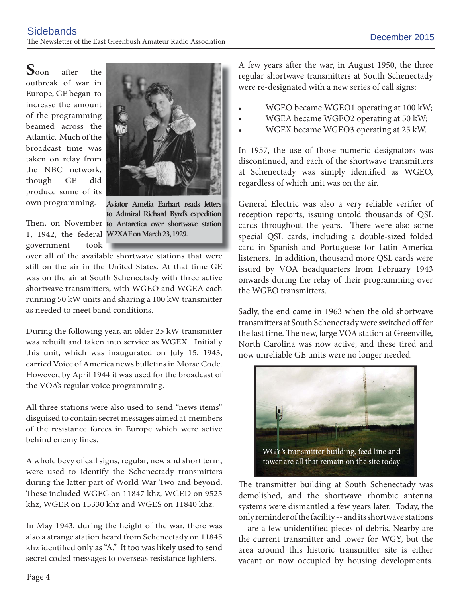**S**oon after the outbreak of war in Europe, GE began to increase the amount of the programming beamed across the Atlantic. Much of the broadcast time was taken on relay from the NBC network, though GE did produce some of its own programming.



Then, on November to Antarctica over shortwave station **Aviator Amelia Earhart reads letters to Admiral Richard Byrd's expedition** 

1, 1942, the federal **W2XAF on March 23, 1929.** government took

over all of the available shortwave stations that were still on the air in the United States. At that time GE was on the air at South Schenectady with three active shortwave transmitters, with WGEO and WGEA each running 50 kW units and sharing a 100 kW transmitter as needed to meet band conditions.

During the following year, an older 25 kW transmitter was rebuilt and taken into service as WGEX. Initially this unit, which was inaugurated on July 15, 1943, carried Voice of America news bulletins in Morse Code. However, by April 1944 it was used for the broadcast of the VOA's regular voice programming.

All three stations were also used to send "news items" disguised to contain secret messages aimed at members of the resistance forces in Europe which were active behind enemy lines.

A whole bevy of call signs, regular, new and short term, were used to identify the Schenectady transmitters during the latter part of World War Two and beyond. These included WGEC on 11847 khz, WGED on 9525 khz, WGER on 15330 khz and WGES on 11840 khz.

In May 1943, during the height of the war, there was also a strange station heard from Schenectady on 11845 khz identified only as "A." It too was likely used to send secret coded messages to overseas resistance fighters.

A few years after the war, in August 1950, the three regular shortwave transmitters at South Schenectady were re-designated with a new series of call signs:

- WGEO became WGEO1 operating at 100 kW;
- WGEA became WGEO2 operating at 50 kW;
- WGEX became WGEO3 operating at 25 kW.

In 1957, the use of those numeric designators was discontinued, and each of the shortwave transmitters at Schenectady was simply identified as WGEO, regardless of which unit was on the air.

General Electric was also a very reliable verifier of reception reports, issuing untold thousands of QSL cards throughout the years. There were also some special QSL cards, including a double-sized folded card in Spanish and Portuguese for Latin America listeners. In addition, thousand more QSL cards were issued by VOA headquarters from February 1943 onwards during the relay of their programming over the WGEO transmitters.

Sadly, the end came in 1963 when the old shortwave transmitters at South Schenectady were switched off for the last time. The new, large VOA station at Greenville, North Carolina was now active, and these tired and now unreliable GE units were no longer needed.



The transmitter building at South Schenectady was demolished, and the shortwave rhombic antenna systems were dismantled a few years later. Today, the only reminder of the facility -- and its shortwave stations -- are a few unidentified pieces of debris. Nearby are the current transmitter and tower for WGY, but the area around this historic transmitter site is either vacant or now occupied by housing developments.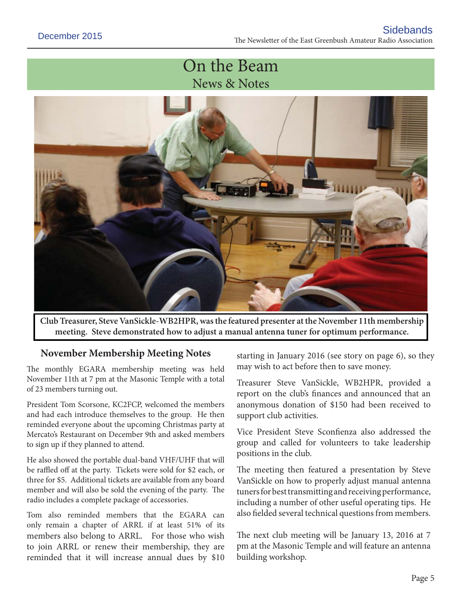### On the Beam News & Notes



**Club Treasurer, Steve VanSickle-WB2HPR, was the featured presenter at the November 11th membership meeting. Steve demonstrated how to adjust a manual antenna tuner for optimum performance.**

### **November Membership Meeting Notes**

The monthly EGARA membership meeting was held November 11th at 7 pm at the Masonic Temple with a total of 23 members turning out.

President Tom Scorsone, KC2FCP, welcomed the members and had each introduce themselves to the group. He then reminded everyone about the upcoming Christmas party at Mercato's Restaurant on December 9th and asked members to sign up if they planned to attend.

He also showed the portable dual-band VHF/UHF that will be raffled off at the party. Tickets were sold for \$2 each, or three for \$5. Additional tickets are available from any board member and will also be sold the evening of the party. The radio includes a complete package of accessories.

Tom also reminded members that the EGARA can only remain a chapter of ARRL if at least 51% of its members also belong to ARRL. For those who wish to join ARRL or renew their membership, they are reminded that it will increase annual dues by \$10

starting in January 2016 (see story on page 6), so they may wish to act before then to save money.

Treasurer Steve VanSickle, WB2HPR, provided a report on the club's finances and announced that an anonymous donation of \$150 had been received to support club activities.

Vice President Steve Sconfienza also addressed the group and called for volunteers to take leadership positions in the club.

The meeting then featured a presentation by Steve VanSickle on how to properly adjust manual antenna tuners for best transmitting and receiving performance, including a number of other useful operating tips. He also fielded several technical questions from members.

The next club meeting will be January 13, 2016 at 7 pm at the Masonic Temple and will feature an antenna building workshop.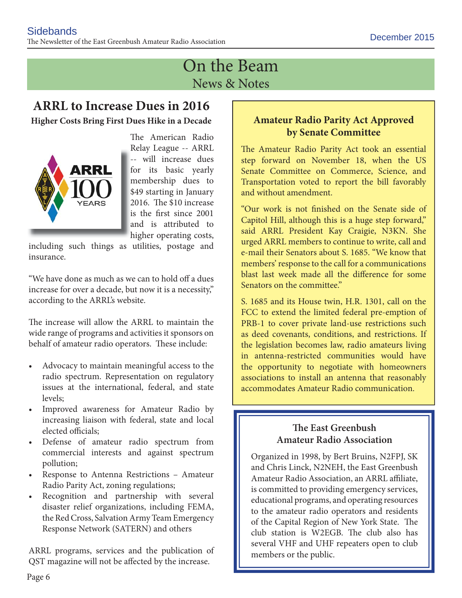### On the Beam News & Notes

### **ARRL to Increase Dues in 2016**

**Higher Costs Bring First Dues Hike in a Decade**



The American Radio Relay League -- ARRL -- will increase dues for its basic yearly membership dues to \$49 starting in January 2016. The \$10 increase is the first since 2001 and is attributed to higher operating costs, h

including such things as utilities, postage and insurance.

"We have done as much as we can to hold off a dues increase for over a decade, but now it is a necessity," according to the ARRL's website.

The increase will allow the ARRL to maintain the wide range of programs and activities it sponsors on behalf of amateur radio operators. These include:

- Advocacy to maintain meaningful access to the radio spectrum. Representation on regulatory issues at the international, federal, and state levels;
- Improved awareness for Amateur Radio by increasing liaison with federal, state and local elected officials:
- Defense of amateur radio spectrum from commercial interests and against spectrum pollution;
- Response to Antenna Restrictions Amateur Radio Parity Act, zoning regulations;
- Recognition and partnership with several disaster relief organizations, including FEMA, the Red Cross, Salvation Army Team Emergency Response Network (SATERN) and others

ARRL programs, services and the publication of QST magazine will not be affected by the increase.

### **Amateur Radio Parity Act Approved by Senate Committee**

The Amateur Radio Parity Act took an essential step forward on November 18, when the US Senate Committee on Commerce, Science, and Transportation voted to report the bill favorably and without amendment.

"Our work is not finished on the Senate side of Capitol Hill, although this is a huge step forward," said ARRL President Kay Craigie, N3KN. She urged ARRL members to continue to write, call and e-mail their Senators about S. 1685. "We know that members' response to the call for a communications blast last week made all the difference for some Senators on the committee."

S. 1685 and its House twin, H.R. 1301, call on the FCC to extend the limited federal pre-emption of PRB-1 to cover private land-use restrictions such as deed covenants, conditions, and restrictions. If the legislation becomes law, radio amateurs living in antenna-restricted communities would have the opportunity to negotiate with homeowners associations to install an antenna that reasonably accommodates Amateur Radio communication.

### **The East Greenbush Amateur Radio Association**

Organized in 1998, by Bert Bruins, N2FPJ, SK and Chris Linck, N2NEH, the East Greenbush Amateur Radio Association, an ARRL affiliate, is committed to providing emergency services, educational programs, and operating resources to the amateur radio operators and residents of the Capital Region of New York State. The club station is W2EGB. The club also has several VHF and UHF repeaters open to club members or the public.